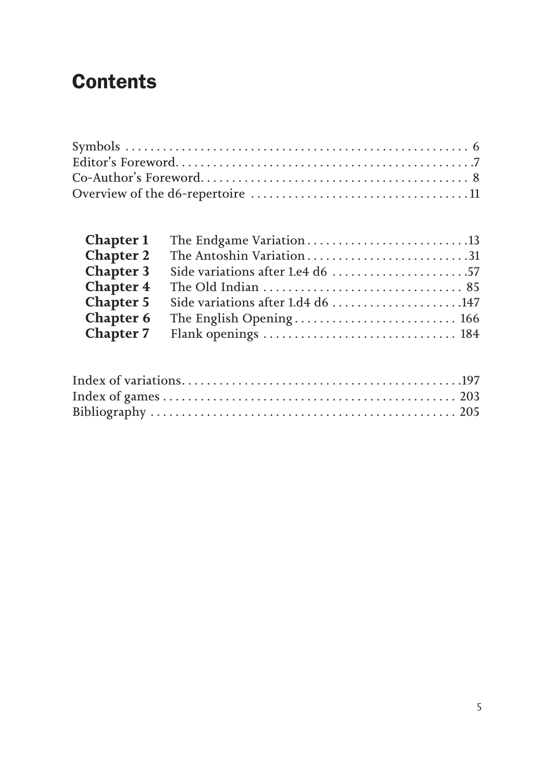# **Contents**

| <b>Chapter 1</b> |                                   |  |
|------------------|-----------------------------------|--|
| Chapter 2        |                                   |  |
| <b>Chapter 3</b> |                                   |  |
| Chapter 4        |                                   |  |
| <b>Chapter 5</b> | Side variations after 1.d4 d6 147 |  |
| <b>Chapter 6</b> |                                   |  |
|                  |                                   |  |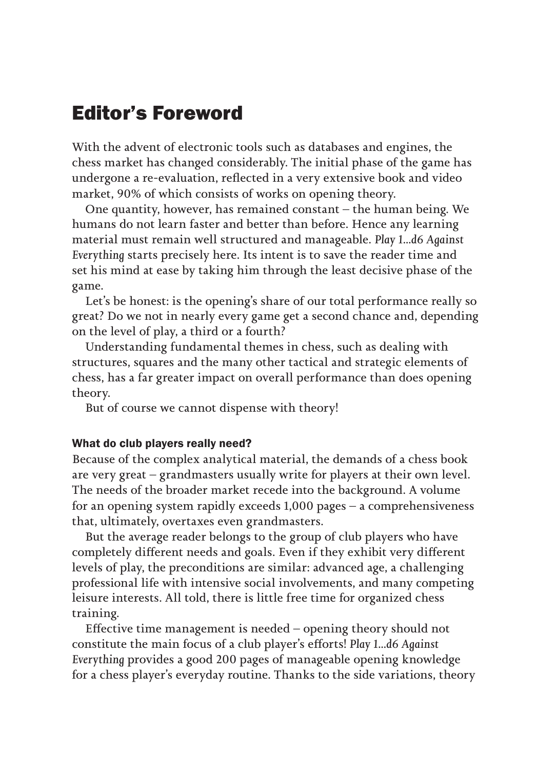# Editor's Foreword

With the advent of electronic tools such as databases and engines, the chess market has changed considerably. The initial phase of the game has undergone a re-evaluation, reflected in a very extensive book and video market, 90% of which consists of works on opening theory.

One quantity, however, has remained constant – the human being. We humans do not learn faster and better than before. Hence any learning material must remain well structured and manageable. *Play 1...d6 Against Everything* starts precisely here. Its intent is to save the reader time and set his mind at ease by taking him through the least decisive phase of the game.

Let's be honest: is the opening's share of our total performance really so great? Do we not in nearly every game get a second chance and, depending on the level of play, a third or a fourth?

Understanding fundamental themes in chess, such as dealing with structures, squares and the many other tactical and strategic elements of chess, has a far greater impact on overall performance than does opening theory.

But of course we cannot dispense with theory!

#### What do club players really need?

Because of the complex analytical material, the demands of a chess book are very great – grandmasters usually write for players at their own level. The needs of the broader market recede into the background. A volume for an opening system rapidly exceeds 1,000 pages – a comprehensiveness that, ultimately, overtaxes even grandmasters.

But the average reader belongs to the group of club players who have completely different needs and goals. Even if they exhibit very different levels of play, the preconditions are similar: advanced age, a challenging professional life with intensive social involvements, and many competing leisure interests. All told, there is little free time for organized chess training.

Effective time management is needed – opening theory should not constitute the main focus of a club player's efforts! *Play 1...d6 Against Everything* provides a good 200 pages of manageable opening knowledge for a chess player's everyday routine. Thanks to the side variations, theory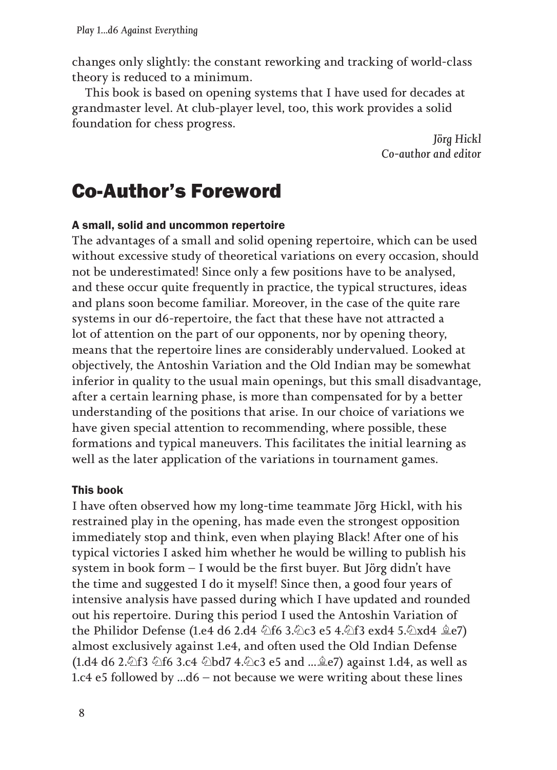changes only slightly: the constant reworking and tracking of world-class theory is reduced to a minimum.

This book is based on opening systems that I have used for decades at grandmaster level. At club-player level, too, this work provides a solid foundation for chess progress.

> *Jörg Hickl Co-author and editor*

# Co-Author's Foreword

#### A small, solid and uncommon repertoire

The advantages of a small and solid opening repertoire, which can be used without excessive study of theoretical variations on every occasion, should not be underestimated! Since only a few positions have to be analysed, and these occur quite frequently in practice, the typical structures, ideas and plans soon become familiar. Moreover, in the case of the quite rare systems in our d6-repertoire, the fact that these have not attracted a lot of attention on the part of our opponents, nor by opening theory, means that the repertoire lines are considerably undervalued. Looked at objectively, the Antoshin Variation and the Old Indian may be somewhat inferior in quality to the usual main openings, but this small disadvantage, after a certain learning phase, is more than compensated for by a better understanding of the positions that arise. In our choice of variations we have given special attention to recommending, where possible, these formations and typical maneuvers. This facilitates the initial learning as well as the later application of the variations in tournament games.

#### This book

I have often observed how my long-time teammate Jörg Hickl, with his restrained play in the opening, has made even the strongest opposition immediately stop and think, even when playing Black! After one of his typical victories I asked him whether he would be willing to publish his system in book form – I would be the first buyer. But Jörg didn't have the time and suggested I do it myself! Since then, a good four years of intensive analysis have passed during which I have updated and rounded out his repertoire. During this period I used the Antoshin Variation of the Philidor Defense (1.e4 d6 2.d4 ♘f6 3.♘c3 e5 4.♘f3 exd4 5.♘xd4 ♗e7) almost exclusively against 1.e4, and often used the Old Indian Defense (1.d4 d6 2.♘f3 ♘f6 3.c4 ♘bd7 4.♘c3 e5 and ...♗e7) against 1.d4, as well as 1.c4 e5 followed by ...d6 – not because we were writing about these lines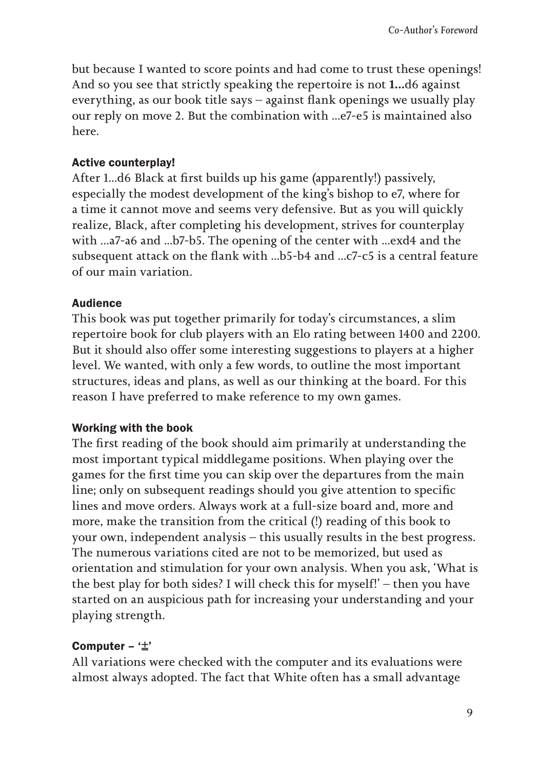but because I wanted to score points and had come to trust these openings! And so you see that strictly speaking the repertoire is not **1...**d6 against everything, as our book title says – against flank openings we usually play our reply on move 2. But the combination with ...e7-e5 is maintained also here.

#### Active counterplay!

After 1...d6 Black at first builds up his game (apparently!) passively, especially the modest development of the king's bishop to e7, where for a time it cannot move and seems very defensive. But as you will quickly realize, Black, after completing his development, strives for counterplay with ...a7-a6 and ...b7-b5. The opening of the center with ...exd4 and the subsequent attack on the flank with ...b5-b4 and ...c7-c5 is a central feature of our main variation.

### **Audience**

This book was put together primarily for today's circumstances, a slim repertoire book for club players with an Elo rating between 1400 and 2200. But it should also offer some interesting suggestions to players at a higher level. We wanted, with only a few words, to outline the most important structures, ideas and plans, as well as our thinking at the board. For this reason I have preferred to make reference to my own games.

### Working with the book

The first reading of the book should aim primarily at understanding the most important typical middlegame positions. When playing over the games for the first time you can skip over the departures from the main line; only on subsequent readings should you give attention to specific lines and move orders. Always work at a full-size board and, more and more, make the transition from the critical (!) reading of this book to your own, independent analysis – this usually results in the best progress. The numerous variations cited are not to be memorized, but used as orientation and stimulation for your own analysis. When you ask, 'What is the best play for both sides? I will check this for myself!' – then you have started on an auspicious path for increasing your understanding and your playing strength.

### Computer  $\pm$ '

All variations were checked with the computer and its evaluations were almost always adopted. The fact that White often has a small advantage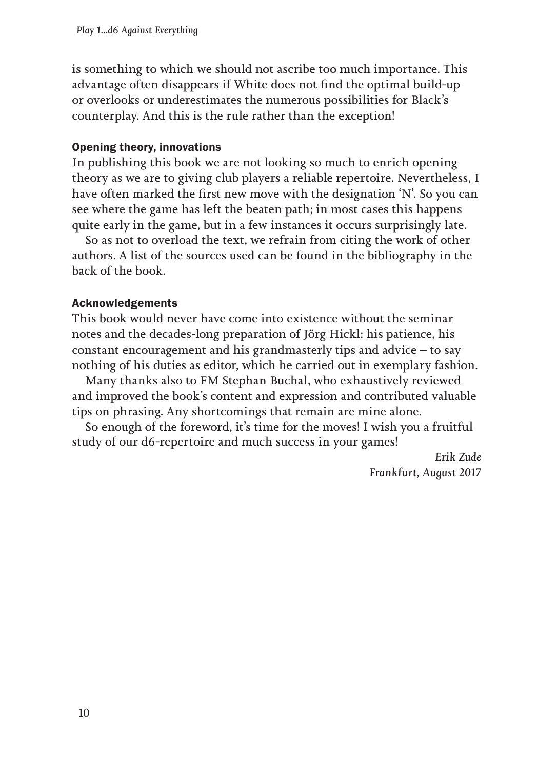is something to which we should not ascribe too much importance. This advantage often disappears if White does not find the optimal build-up or overlooks or underestimates the numerous possibilities for Black's counterplay. And this is the rule rather than the exception!

#### Opening theory, innovations

In publishing this book we are not looking so much to enrich opening theory as we are to giving club players a reliable repertoire. Nevertheless, I have often marked the first new move with the designation 'N'. So you can see where the game has left the beaten path; in most cases this happens quite early in the game, but in a few instances it occurs surprisingly late.

So as not to overload the text, we refrain from citing the work of other authors. A list of the sources used can be found in the bibliography in the back of the book.

#### Acknowledgements

This book would never have come into existence without the seminar notes and the decades-long preparation of Jörg Hickl: his patience, his constant encouragement and his grandmasterly tips and advice – to say nothing of his duties as editor, which he carried out in exemplary fashion.

Many thanks also to FM Stephan Buchal, who exhaustively reviewed and improved the book's content and expression and contributed valuable tips on phrasing. Any shortcomings that remain are mine alone.

So enough of the foreword, it's time for the moves! I wish you a fruitful study of our d6-repertoire and much success in your games!

> *Erik Zude Frankfurt, August 2017*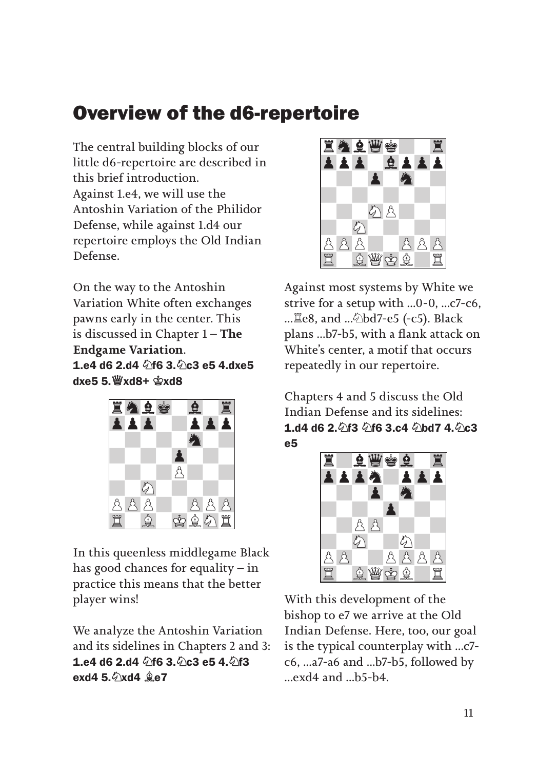# Overview of the d6-repertoire

The central building blocks of our little d6-repertoire are described in this brief introduction. Against 1.e4, we will use the Antoshin Variation of the Philidor Defense, while against 1.d4 our repertoire employs the Old Indian Defense.

On the way to the Antoshin Variation White often exchanges pawns early in the center. This is discussed in Chapter 1 – **The Endgame Variation**. 1.e4 d6 2.d4 2f6 3.2c3 e5 4.dxe5 dxe5 5.♕xd8+ ♔xd8



In this queenless middlegame Black has good chances for equality – in practice this means that the better player wins!

We analyze the Antoshin Variation and its sidelines in Chapters 2 and 3: 1.e4 d6 2.d4  $\sqrt[6]{6}$  3. $\sqrt[6]{6}$  e5 4. $\sqrt[6]{13}$ exd4  $5.\Diamond$ xd4  $\hat{9}e7$ 



Against most systems by White we strive for a setup with ...0-0, ...c7-c6, ...♖e8, and ...♘bd7-e5 (-c5). Black plans ...b7-b5, with a flank attack on White's center, a motif that occurs repeatedly in our repertoire.

Chapters 4 and 5 discuss the Old Indian Defense and its sidelines: **1.d4 d6 2. 行3 公f6 3.c4 公bd7 4. 公c3** e5



With this development of the bishop to e7 we arrive at the Old Indian Defense. Here, too, our goal is the typical counterplay with ...c7 c6, ...a7-a6 and ...b7-b5, followed by ...exd4 and ...b5-b4.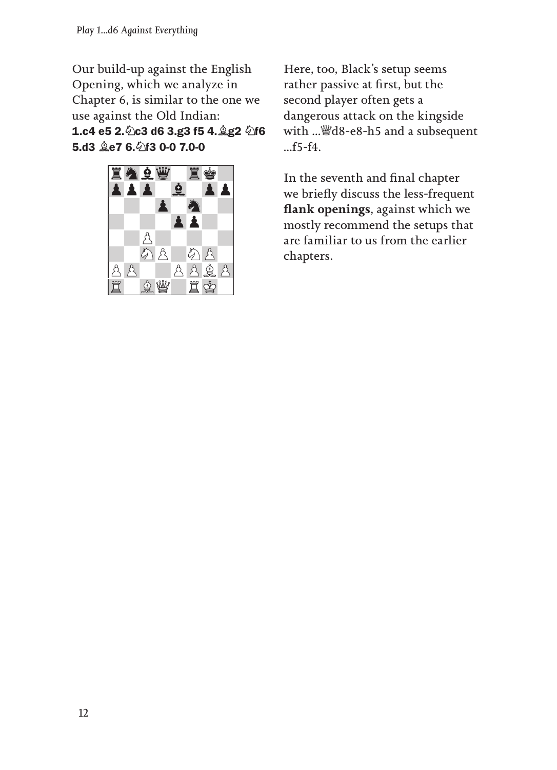Our build-up against the English Opening, which we analyze in Chapter 6, is similar to the one we use against the Old Indian: 1.c4 e5 2. 0c3 d6 3.g3 f5 4. 2g2 0f6 5.d3 **ge7 6. f3 0-0 7.0-0** 



Here, too, Black's setup seems rather passive at first, but the second player often gets a dangerous attack on the kingside with ...♕d8-e8-h5 and a subsequent ...f5-f4.

In the seventh and final chapter we briefly discuss the less-frequent **flank openings**, against which we mostly recommend the setups that are familiar to us from the earlier chapters.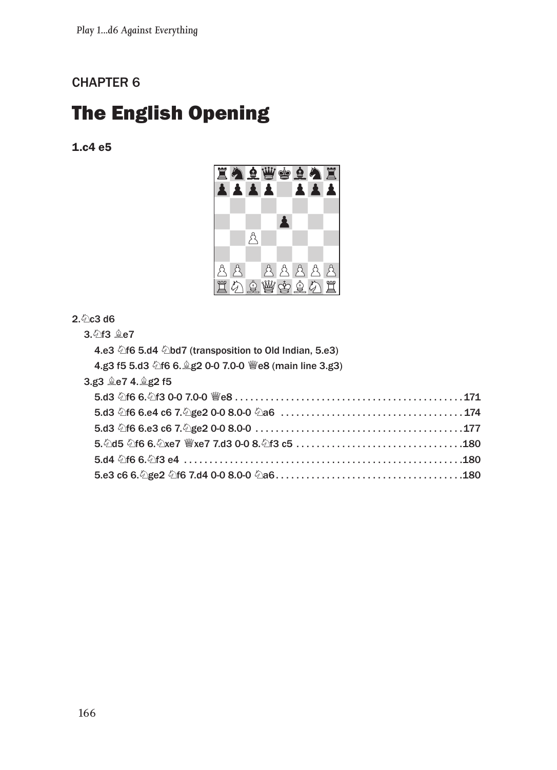## CHAPTER 6

# The English Opening

1.c4 e5



#### $2.$   $\Diamond$  c3 d6

3.♘f3 ♗e7

| 4.e3 $\triangle$ f6 5.d4 $\triangle$ bd7 (transposition to Old Indian, 5.e3) |  |
|------------------------------------------------------------------------------|--|
| 4.g3 f5 5.d3 4 f6 6. g2 0-0 7.0-0 We8 (main line 3.g3)                       |  |
| 3.g3 ge7 4.gg2 f5                                                            |  |
|                                                                              |  |
|                                                                              |  |
|                                                                              |  |
|                                                                              |  |
|                                                                              |  |
|                                                                              |  |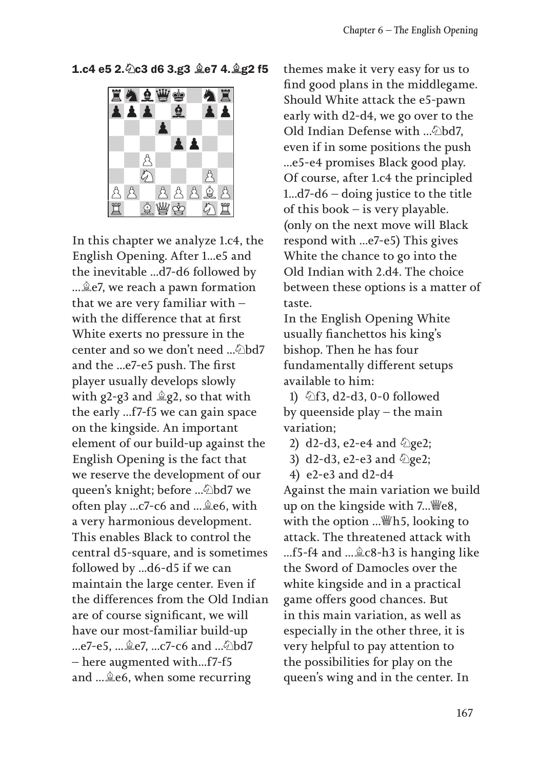#### 1.c4 e5 2.♘c3 d6 3.g3 ♗e7 4.♗g2 f5



In this chapter we analyze 1.c4, the English Opening. After 1...e5 and the inevitable ...d7-d6 followed by ...♗e7, we reach a pawn formation that we are very familiar with – with the difference that at first White exerts no pressure in the center and so we don't need ...♘bd7 and the ...e7-e5 push. The first player usually develops slowly with g2-g3 and  $\triangleq$ g2, so that with the early ...f7-f5 we can gain space on the kingside. An important element of our build-up against the English Opening is the fact that we reserve the development of our queen's knight; before ...♘bd7 we often play ...c7-c6 and ...♗e6, with a very harmonious development. This enables Black to control the central d5-square, and is sometimes followed by ...d6-d5 if we can maintain the large center. Even if the differences from the Old Indian are of course significant, we will have our most-familiar build-up ...e7-e5, ...♗e7, ...c7-c6 and ...♘bd7 – here augmented with...f7-f5 and ...♗e6, when some recurring

themes make it very easy for us to find good plans in the middlegame. Should White attack the e5-pawn early with d2-d4, we go over to the Old Indian Defense with ...♘bd7, even if in some positions the push ...e5-e4 promises Black good play. Of course, after 1.c4 the principled 1...d7-d6 – doing justice to the title of this book – is very playable. (only on the next move will Black respond with ...e7-e5) This gives White the chance to go into the Old Indian with 2.d4. The choice between these options is a matter of taste.

In the English Opening White usually fianchettos his king's bishop. Then he has four fundamentally different setups available to him:

1) ♘f3, d2-d3, 0-0 followed by queenside play – the main variation;

- 2) d2-d3, e2-e4 and  $\Diamond$ ge2;
- 3)  $d2-d3$ , e2-e3 and  $\Diamond$ ge2;
- 4) e2-e3 and d2-d4

Against the main variation we build up on the kingside with 7... \egetale. with the option ...♕h5, looking to attack. The threatened attack with ...f5-f4 and ...♗c8-h3 is hanging like the Sword of Damocles over the white kingside and in a practical game offers good chances. But in this main variation, as well as especially in the other three, it is very helpful to pay attention to the possibilities for play on the queen's wing and in the center. In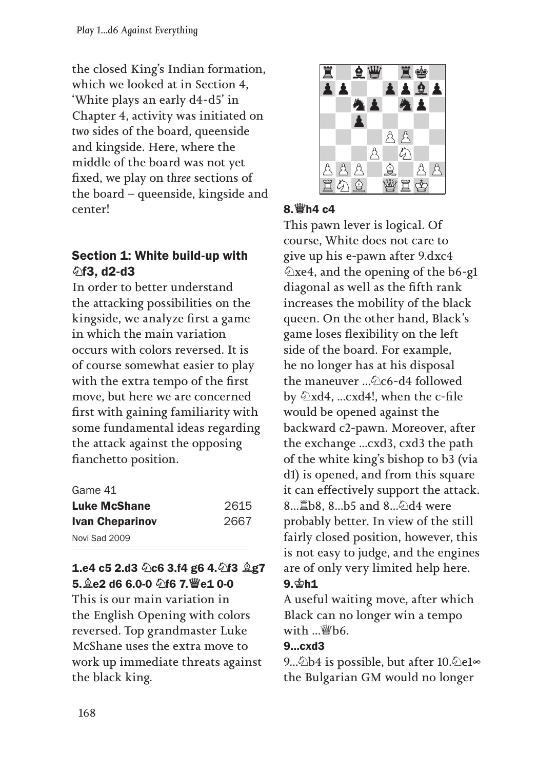the closed King's Indian formation, which we looked at in Section 4, 'White plays an early d4-d5' in Chapter 4, activity was initiated on *two* sides of the board, queenside and kingside. Here, where the middle of the board was not yet fixed, we play on *three* sections of the board – queenside, kingside and center!

# Section 1: White build-up with ♘f3, d2-d3

In order to better understand the attacking possibilities on the kingside, we analyze first a game in which the main variation occurs with colors reversed. It is of course somewhat easier to play with the extra tempo of the first move, but here we are concerned first with gaining familiarity with some fundamental ideas regarding the attack against the opposing fianchetto position.

| Game 41                |      |
|------------------------|------|
| Luke McShane           | 2615 |
| <b>Ivan Cheparinov</b> | 2667 |
| Novi Sad 2009          |      |

## 1.e4 c5 2.d3 2c6 3.f4 g6 4. 2f3 2g7 5.♗e2 d6 6.0-0 ♘f6 7.♕e1 0-0

This is our main variation in the English Opening with colors reversed. Top grandmaster Luke McShane uses the extra move to work up immediate threats against the black king.



### 8.♕h4 c4

This pawn lever is logical. Of course, White does not care to give up his e-pawn after 9.dxc4  $\triangle$ xe4, and the opening of the b6-g1 diagonal as well as the fifth rank increases the mobility of the black queen. On the other hand, Black's game loses flexibility on the left side of the board. For example, he no longer has at his disposal the maneuver ...♘c6-d4 followed by ♘xd4, ...cxd4!, when the c-file would be opened against the backward c2-pawn. Moreover, after the exchange ...cxd3, cxd3 the path of the white king's bishop to b3 (via d1) is opened, and from this square it can effectively support the attack. 8...♖b8, 8...b5 and 8...♘d4 were probably better. In view of the still fairly closed position, however, this is not easy to judge, and the engines are of only very limited help here. 9.♔h1

A useful waiting move, after which Black can no longer win a tempo with ...♕b6.

#### 9...cxd3

9...⁄2b4 is possible, but after 10.⁄2e1∞ the Bulgarian GM would no longer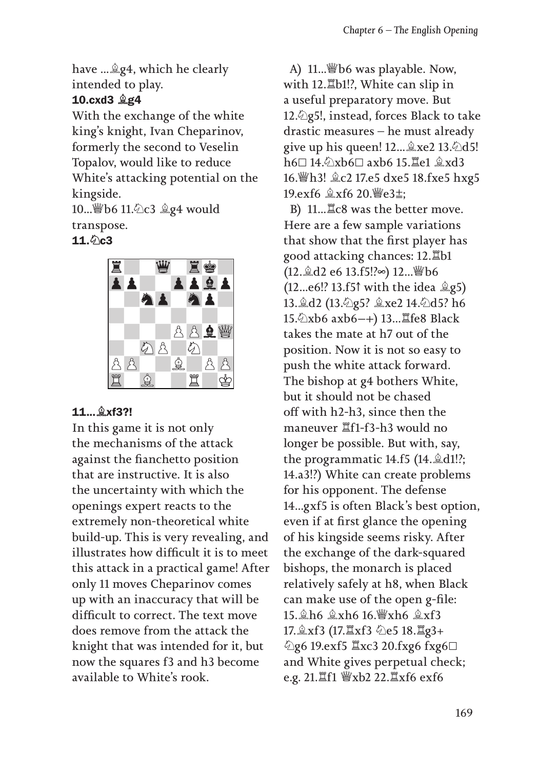have ...♗g4, which he clearly intended to play.

## 10.cxd3 ♗g4

With the exchange of the white king's knight, Ivan Cheparinov, formerly the second to Veselin Topalov, would like to reduce White's attacking potential on the kingside.

10...♕b6 11.♘c3 ♗g4 would transpose.

#### $11.$   $Qc3$



### 11...♗xf3?!

In this game it is not only the mechanisms of the attack against the fianchetto position that are instructive. It is also the uncertainty with which the openings expert reacts to the extremely non-theoretical white build-up. This is very revealing, and illustrates how difficult it is to meet this attack in a practical game! After only 11 moves Cheparinov comes up with an inaccuracy that will be difficult to correct. The text move does remove from the attack the knight that was intended for it, but now the squares f3 and h3 become available to White's rook.

A) 11...♕b6 was playable. Now, with 12.♖b1!?, White can slip in a useful preparatory move. But 12.♘g5!, instead, forces Black to take drastic measures – he must already give up his queen!  $12 \dots$   $\& \times$   $2 \cdot 13 \cdot \& \times$ d5! h6⊡ 14.♘xb6⊡ axb6 15.♖e1 ♗xd3 16.♕h3! ♗c2 17.e5 dxe5 18.fxe5 hxg5 19.exf6 ♗xf6 20.♕e3⩱;

B) 11...♖c8 was the better move. Here are a few sample variations that show that the first player has good attacking chances: 12.♖b1 (12.♗d2 e6 13.f5!?∞) 12...♕b6 (12...e6!? 13.f5↑ with the idea ♗g5) 13.♗d2 (13.♘g5? ♗xe2 14.♘d5? h6 15. 公xb6 axb6-+) 13... 耳fe8 Black takes the mate at h7 out of the position. Now it is not so easy to push the white attack forward. The bishop at g4 bothers White, but it should not be chased off with h2-h3, since then the maneuver ♖f1-f3-h3 would no longer be possible. But with, say, the programmatic 14.f5 (14.♗d1!?; 14.a3!?) White can create problems for his opponent. The defense 14...gxf5 is often Black's best option, even if at first glance the opening of his kingside seems risky. After the exchange of the dark-squared bishops, the monarch is placed relatively safely at h8, when Black can make use of the open g-file: 15.♗h6 ♗xh6 16.♕xh6 ♗xf3 17.♗xf3 (17.♖xf3 ♘e5 18.♖g3+ ♘g6 19.exf5 ♖xc3 20.fxg6 fxg6⊡ and White gives perpetual check; e.g. 21.♖f1 ♕xb2 22.♖xf6 exf6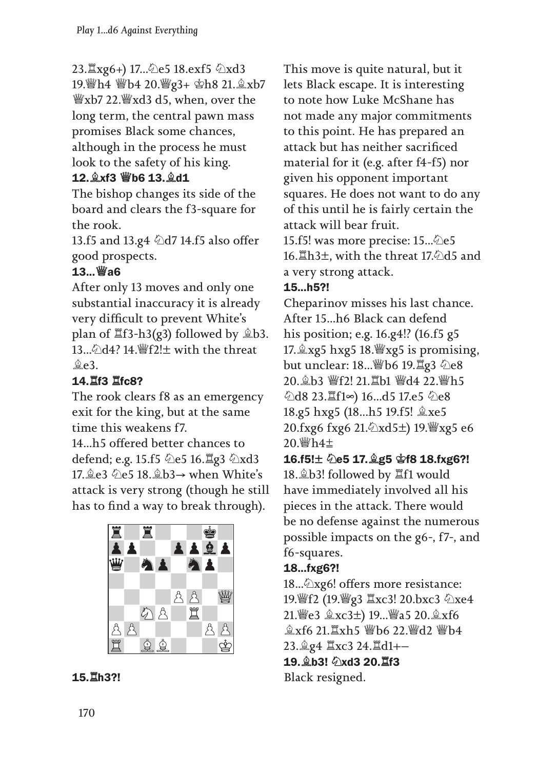23.♖xg6+) 17...♘e5 18.exf5 ♘xd3 19.♕h4 ♕b4 20.♕g3+ ♔h8 21.♗xb7 ♕xb7 22.♕xd3 d5, when, over the long term, the central pawn mass promises Black some chances, although in the process he must look to the safety of his king.

## 12.♗xf3 ♕b6 13.♗d1

The bishop changes its side of the board and clears the f3-square for the rook.

13.f5 and 13.g4  $\ddot{\triangle}$ d7 14.f5 also offer good prospects.

# 13...♕a6

After only 13 moves and only one substantial inaccuracy it is already very difficult to prevent White's plan of  $\mathbb{Z}$ f3-h3(g3) followed by  $\hat{\mathbb{Z}}$ b3. 13... $\triangle$ d4? 14.  $\angle$  f2! $\pm$  with the threat  $$e3.$ 

# 14.♖f3 ♖fc8?

The rook clears f8 as an emergency exit for the king, but at the same time this weakens f7.

14...h5 offered better chances to defend; e.g. 15.f5 ۞e5 16. **Eg3** ۞xd3 17. இe3 2e5 18. இb3→ when White's attack is very strong (though he still has to find a way to break through).





This move is quite natural, but it lets Black escape. It is interesting to note how Luke McShane has not made any major commitments to this point. He has prepared an attack but has neither sacrificed material for it (e.g. after f4-f5) nor given his opponent important squares. He does not want to do any of this until he is fairly certain the attack will bear fruit.

15.f5! was more precise: 15... $\&$ e5 16. Lampled 15. and the threat 17. also and a very strong attack.

# 15...h5?!

Cheparinov misses his last chance. After 15...h6 Black can defend his position; e.g. 16.g4!? (16.f5 g5 17. $\&$ xg5 hxg5 18. $\&$ xg5 is promising, but unclear: 18...♕b6 19.♖g3 ♘e8 20.♗b3 ♕f2! 21.♖b1 ♕d4 22.♕h5 ♘d8 23.♖f1∞) 16...d5 17.e5 ♘e8 18.g5 hxg5 (18...h5 19.f5! ♗xe5 20.fxg6 fxg6 21.♘xd5) 19.♕xg5 e6  $20.\%h4\pm$ 

16.f5!± 2e5 17. g5 \$f8 18.fxg6?! 18.♗b3! followed by ♖f1 would have immediately involved all his pieces in the attack. There would be no defense against the numerous possible impacts on the g6-, f7-, and f6-squares.

# 18...fxg6?!

18...♘xg6! offers more resistance: 19.♕f2 (19.♕g3 ♖xc3! 20.bxc3 ♘xe4 21. e3 盒xc3±) 19... 曾a5 20. 盒xf6 **盒xf6 21. Ixh5 響b6 22. 響d2 響b4** 23.♗g4 ♖xc3 24.♖d1 19.♗b3! ♘xd3 20.♖f3 Black resigned.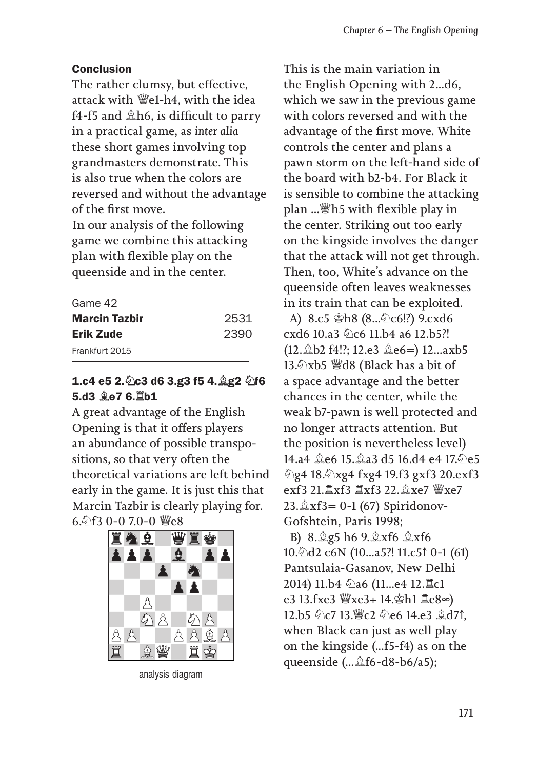#### Conclusion

The rather clumsy, but effective, attack with ♕e1-h4, with the idea f4-f5 and ♗h6, is difficult to parry in a practical game, as *inter alia* these short games involving top grandmasters demonstrate. This is also true when the colors are reversed and without the advantage of the first move.

In our analysis of the following game we combine this attacking plan with flexible play on the queenside and in the center.

| Game 42              |      |
|----------------------|------|
| <b>Marcin Tazbir</b> | 2531 |
| Erik Zude            | 2390 |
| Frankfurt 2015       |      |

### 1.c4 e5 2. 2c3 d6 3.g3 f5 4. 2g2 2f6 5.d3 ♗e7 6.♖b1

A great advantage of the English Opening is that it offers players an abundance of possible transpositions, so that very often the theoretical variations are left behind early in the game. It is just this that Marcin Tazbir is clearly playing for. 6.♘f3 0-0 7.0-0 ♕e8



analysis diagram

This is the main variation in the English Opening with 2...d6, which we saw in the previous game with colors reversed and with the advantage of the first move. White controls the center and plans a pawn storm on the left-hand side of the board with b2-b4. For Black it is sensible to combine the attacking plan ...♕h5 with flexible play in the center. Striking out too early on the kingside involves the danger that the attack will not get through. Then, too, White's advance on the queenside often leaves weaknesses in its train that can be exploited.

A) 8.c5 ♔h8 (8...♘c6!?) 9.cxd6 cxd6 10.a3 ©c6 11.b4 a6 12.b5?! (12. b2 f4!?; 12.e3  $\angle$ e6=) 12...axb5 13.♘xb5 ♕d8 (Black has a bit of a space advantage and the better chances in the center, while the weak b7-pawn is well protected and no longer attracts attention. But the position is nevertheless level) 14.a4 ♗e6 15.♗a3 d5 16.d4 e4 17.♘e5 ♘g4 18.♘xg4 fxg4 19.f3 gxf3 20.exf3 exf3 21.♖xf3 ♖xf3 22.♗xe7 ♕xe7 23. $\&$ xf3= 0-1 (67) Spiridonov-Gofshtein, Paris 1998;

B) 8.♗g5 h6 9.♗xf6 ♗xf6 10.♘d2 c6N (10...a5?! 11.c5↑ 0-1 (61) Pantsulaia-Gasanov, New Delhi 2014) 11.b4 ♘a6 (11...e4 12.♖c1 e3 13.fxe3 ♕xe3+ 14.♔h1 ♖e8∞) 12.b5 ♘c7 13.♕c2 ♘e6 14.e3 ♗d7↑, when Black can just as well play on the kingside (...f5-f4) as on the queenside (...♗f6-d8-b6/a5);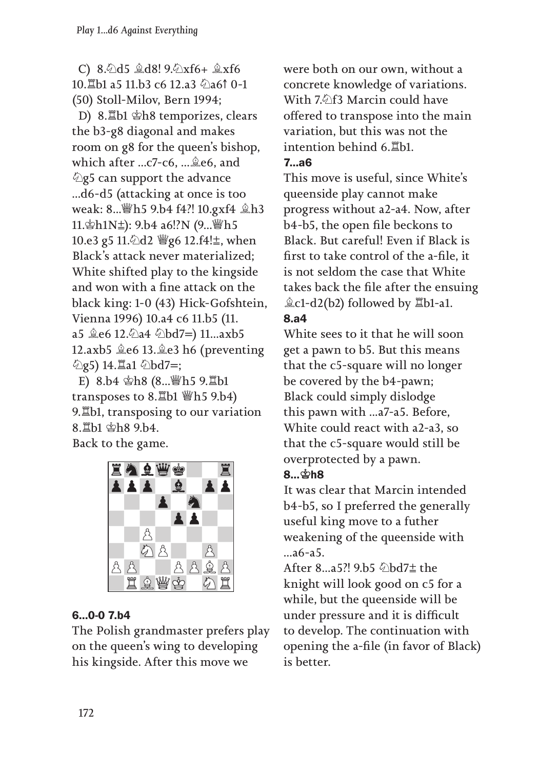C) 8.♘d5 ♗d8! 9.♘xf6+ ♗xf6 10.耳b1 a5 11.b3 c6 12.a3 のa6↑ 0-1 (50) Stoll-Milov, Bern 1994;

D) 8.♖b1 ♔h8 temporizes, clears the b3-g8 diagonal and makes room on g8 for the queen's bishop, which after ...c7-c6, ...♗e6, and ♘g5 can support the advance ...d6-d5 (attacking at once is too weak: 8...♕h5 9.b4 f4?! 10.gxf4 ♗h3 11.♔h1N⩱): 9.b4 a6!?N (9...♕h5 10.e3 g5 11. hd2 *\g* g6 12.f4!<sup>±</sup>, when Black's attack never materialized; White shifted play to the kingside and won with a fine attack on the black king: 1-0 (43) Hick-Gofshtein, Vienna 1996) 10.a4 c6 11.b5 (11. a5 ♗e6 12.♘a4 ♘bd7) 11...axb5 12.axb5 ♗e6 13.♗e3 h6 (preventing  $\Diamond$ g5) 14. $\Xi$ a1  $\Diamond$ bd7=;

E) 8.b4 ♔h8 (8...♕h5 9.♖b1 transposes to 8.♖b1 ♕h5 9.b4) 9.♖b1, transposing to our variation 8.♖b1 ♔h8 9.b4. Back to the game.



# 6...0-0 7.b4

The Polish grandmaster prefers play on the queen's wing to developing his kingside. After this move we

were both on our own, without a concrete knowledge of variations. With 7. $\Diamond$ f3 Marcin could have offered to transpose into the main variation, but this was not the intention behind 6.♖b1. 7...a6

This move is useful, since White's queenside play cannot make progress without a2-a4. Now, after b4-b5, the open file beckons to Black. But careful! Even if Black is first to take control of the a-file, it is not seldom the case that White takes back the file after the ensuing  $\&c1-d2(b2)$  followed by  $\&b1-a1$ .

## 8.a4

White sees to it that he will soon get a pawn to b5. But this means that the c5-square will no longer be covered by the b4-pawn; Black could simply dislodge this pawn with ...a7-a5. Before, White could react with a2-a3, so that the c5-square would still be overprotected by a pawn.

#### 8…⊈h8

It was clear that Marcin intended b4-b5, so I preferred the generally useful king move to a futher weakening of the queenside with ...a6-a5.

After 8...a5?! 9.b5 <del>公bd7±</del> the knight will look good on c5 for a while, but the queenside will be under pressure and it is difficult to develop. The continuation with opening the a-file (in favor of Black) is better.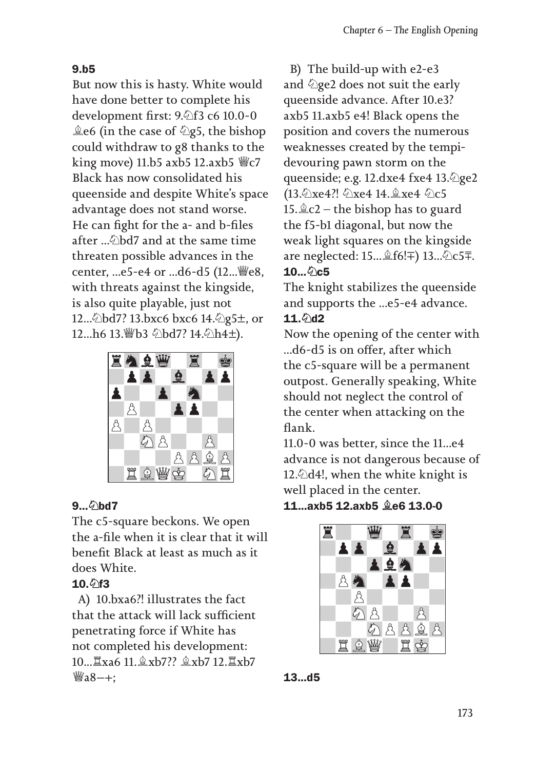#### 9.b5

But now this is hasty. White would have done better to complete his development first: 9.♘f3 c6 10.0-0  $\triangle$ e6 (in the case of  $\triangle$ g5, the bishop could withdraw to g8 thanks to the king move) 11.b5 axb5 12.axb5 ♕c7 Black has now consolidated his queenside and despite White's space advantage does not stand worse. He can fight for the a- and b-files after ...♘bd7 and at the same time threaten possible advances in the center, ...e5-e4 or ...d6-d5 (12... ,e8, with threats against the kingside, is also quite playable, just not 12... Dbd7? 13.bxc6 bxc6 14. 2g5±, or 12...h6 13. Vb3 2bd7? 14. 2h4±).



### 9... **⊘bd7**

The c5-square beckons. We open the a-file when it is clear that it will benefit Black at least as much as it does White.

### 10. 2f3

A) 10.bxa6?! illustrates the fact that the attack will lack sufficient penetrating force if White has not completed his development: 10...♖xa6 11.♗xb7?? ♗xb7 12.♖xb7  $\mathbb{W}_a 8 - +$ ;

B) The build-up with e2-e3 and  $\Diamond$ ge2 does not suit the early queenside advance. After 10.e3? axb5 11.axb5 e4! Black opens the position and covers the numerous weaknesses created by the tempidevouring pawn storm on the queenside; e.g. 12.dxe4 fxe4 13.♘ge2 (13. Ωxe4?! *Д*xe4 14. இxe4 2 с5 15. $\angle$ c2 – the bishop has to guard the f5-b1 diagonal, but now the weak light squares on the kingside are neglected: 15...♗f6!) 13...♘c5⩲.  $10...$   $0.5$ 

The knight stabilizes the queenside and supports the ...e5-e4 advance.  $11.6$ d2

Now the opening of the center with ...d6-d5 is on offer, after which the c5-square will be a permanent outpost. Generally speaking, White should not neglect the control of the center when attacking on the flank.

11.0-0 was better, since the 11...e4 advance is not dangerous because of 12. $\triangle$ d4!, when the white knight is well placed in the center.

11...axb5 12.axb5 ♗e6 13.0-0



13...d5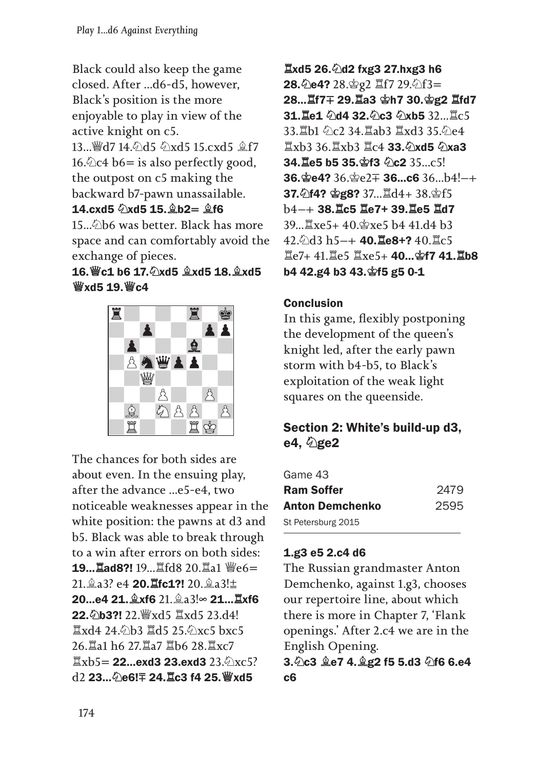Black could also keep the game closed. After ...d6-d5, however, Black's position is the more enjoyable to play in view of the active knight on c5. 13... @d7 14. 4d5 4xd5 15. cxd5 \$f7 16. $\&$ c4 b6 = is also perfectly good, the outpost on c5 making the backward b7-pawn unassailable. 14.cxd5  $\Diamond$ xd5 15.  $\hat{\Diamond}$  h2=  $\hat{\Diamond}$ f6  $15...\hat{9}$ b6 was better. Black has more space and can comfortably avoid the

### 16.♕c1 b6 17.♘xd5 ♗xd5 18.♗xd5 ♕xd5 19.♕c4

exchange of pieces.



The chances for both sides are about even. In the ensuing play, after the advance ...e5-e4, two noticeable weaknesses appear in the white position: the pawns at d3 and b5. Black was able to break through to a win after errors on both sides: 19...♖ad8?! 19...♖fd8 20.♖a1 ♕e6 21. 2a3? e4 **20. 1fc1?!** 20. 2a3!± 20...e4 21.♗xf6 21.♗a3!∞ 21...♖xf6 22.♘b3?! 22.♕xd5 ♖xd5 23.d4! ♖xd4 24.♘b3 ♖d5 25.♘xc5 bxc5 26.♖a1 h6 27.♖a7 ♖b6 28.♖xc7  $\mathbb{Z}$ xb5 = 22...exd3 23.exd3 23. $\hat{\varphi}$ <sub>XC</sub>5?  $d2$  23... $\Diamond$ e6! $\mp$  24. $\Xi$ c3 f4 25. $\mathscr{W}$ xd5

♖xd5 26.♘d2 fxg3 27.hxg3 h6 28.♘e4? 28.♔g2 ♖f7 29.♘f3 28...♖f7 29.♖a3 ♔h7 30.♔g2 ♖fd7 31. Le1 0d4 32. 0c3 0xb5 32... Lc5 33.♖b1 ♘c2 34.♖ab3 ♖xd3 35.♘e4 ♖xb3 36.♖xb3 ♖c4 33.♘xd5 ♘xa3 34. Le5 b5 35. \$f3 0c2 35...c5!  $36.$ ge4?  $36.$ ge2 $\mp$  36...c6  $36$ ...b4!-+ 37.♘f4? ♔g8? 37...♖d4+ 38.♔f5 b4 38.♖c5 ♖e7+ 39.♖e5 ♖d7 39...♖xe5+ 40.♔xe5 b4 41.d4 b3  $42.$ ) d3 h5-+ 40.  $\text{Re8+}$ ?  $40.$   $\text{Re5}$ ♖e7+ 41.♖e5 ♖xe5+ 40...♔f7 41.♖b8 b4 42.g4 b3 43.♔f5 g5 0-1

### Conclusion

In this game, flexibly postponing the development of the queen's knight led, after the early pawn storm with b4-b5, to Black's exploitation of the weak light squares on the queenside.

## Section 2: White's build-up d3, e4,  $\Diamond$ ge2

| Game 43                |      |
|------------------------|------|
| <b>Ram Soffer</b>      | 2479 |
| <b>Anton Demchenko</b> | 2595 |
| St Petersburg 2015     |      |

#### 1.g3 e5 2.c4 d6

The Russian grandmaster Anton Demchenko, against 1.g3, chooses our repertoire line, about which there is more in Chapter 7, 'Flank openings.' After 2.c4 we are in the English Opening.

3.♘c3 ♗e7 4.♗g2 f5 5.d3 ♘f6 6.e4 c6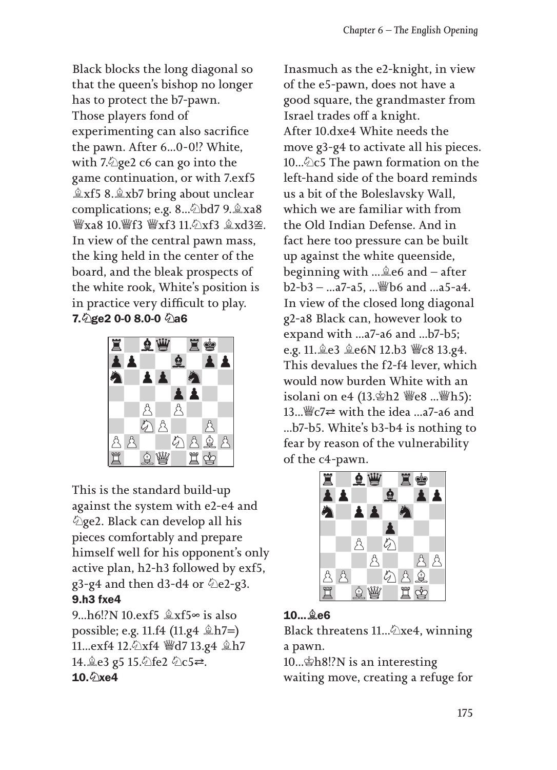Black blocks the long diagonal so that the queen's bishop no longer has to protect the b7-pawn. Those players fond of experimenting can also sacrifice the pawn. After 6...0-0!? White, with 7.♘ge2 c6 can go into the game continuation, or with 7.exf5 ♗xf5 8.♗xb7 bring about unclear complications; e.g. 8...♘bd7 9.♗xa8  $\frac{w}{x}$ xa8 10. $\frac{w}{x}$ f3  $\frac{w}{x}$ xf3  $\frac{a}{x}$ xd3 $\approx$ . In view of the central pawn mass, the king held in the center of the board, and the bleak prospects of the white rook, White's position is in practice very difficult to play. 7.♘ge2 0-0 8.0-0 ♘a6



This is the standard build-up against the system with e2-e4 and ♘ge2. Black can develop all his pieces comfortably and prepare himself well for his opponent's only active plan, h2-h3 followed by exf5,  $g3-g4$  and then d3-d4 or  $\&e2-g3$ . 9.h3 fxe4

9...h6!?N 10.exf5 ♗xf5∞ is also possible; e.g. 11.f4 (11.g4  $\triangleq$ h7=) 11...exf4 12.♘xf4 ♕d7 13.g4 ♗h7 14. e3 g5 15. he2 he5 =.  $10.$  We 4

Inasmuch as the e2-knight, in view of the e5-pawn, does not have a good square, the grandmaster from Israel trades off a knight. After 10.dxe4 White needs the move g3-g4 to activate all his pieces. 10... $\&$ c5 The pawn formation on the left-hand side of the board reminds us a bit of the Boleslavsky Wall, which we are familiar with from the Old Indian Defense. And in fact here too pressure can be built up against the white queenside, beginning with ...♗e6 and – after  $b2-b3 - ... a7-a5$ .... @b6 and ...a5-a4. In view of the closed long diagonal g2-a8 Black can, however look to expand with ...a7-a6 and ...b7-b5; e.g. 11.♗e3 ♗e6N 12.b3 ♕c8 13.g4. This devalues the f2-f4 lever, which would now burden White with an isolani on e4 (13.♔h2 ♕e8 ...♕h5): 13... $\mathcal{L} \in \mathbb{C}$  with the idea ...a7-a6 and ...b7-b5. White's b3-b4 is nothing to fear by reason of the vulnerability of the c4-pawn.



# 10...♗e6

Black threatens 11...♘xe4, winning a pawn.

10...♔h8!?N is an interesting waiting move, creating a refuge for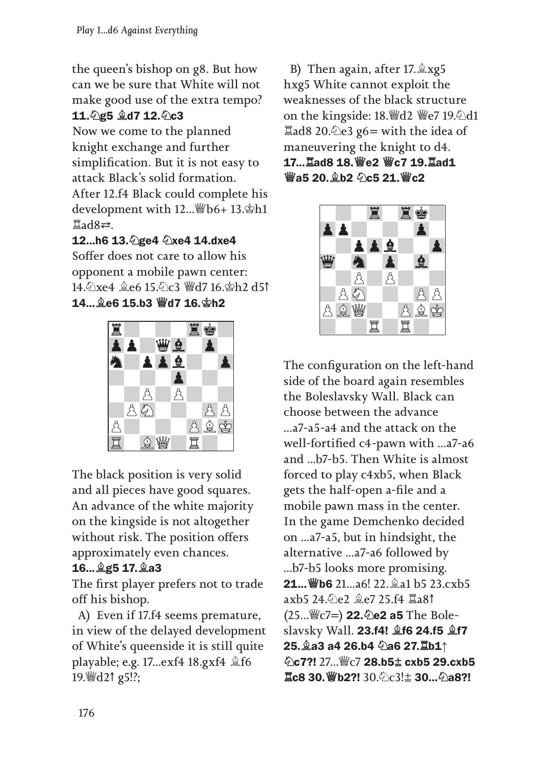the queen's bishop on g8. But how can we be sure that White will not make good use of the extra tempo? 11. 2g5 **gd7** 12. 2c3

Now we come to the planned knight exchange and further simplification. But it is not easy to attack Black's solid formation. After 12.f4 Black could complete his development with 12...♕b6+ 13.♔h1  $\Xi$ ad8⇄.

12...h6 13. @ge4 @xe4 14.dxe4 Soffer does not care to allow his opponent a mobile pawn center: 14.♘xe4 ♗e6 15.♘c3 ♕d7 16.♔h2 d5↑ 14...♗e6 15.b3 ♕d7 16.♔h2



The black position is very solid and all pieces have good squares. An advance of the white majority on the kingside is not altogether without risk. The position offers approximately even chances.

# 16...♗g5 17.♗a3

The first player prefers not to trade off his bishop.

A) Even if 17.f4 seems premature, in view of the delayed development of White's queenside it is still quite playable; e.g. 17...exf4 18.gxf4 ♗f6 19.♕d2↑ g5!?;

B) Then again, after 17.♗xg5 hxg5 White cannot exploit the weaknesses of the black structure on the kingside: 18. fol ₹ e7 19. ⁄all  $\Xi$ ad8 20. $\angle$ e3 g6 = with the idea of maneuvering the knight to d4. 17...♖ad8 18.♕e2 ♕c7 19.♖ad1 **₩а5 20. е̂ h2 のс5 21. ₩с2** 



The configuration on the left-hand side of the board again resembles the Boleslavsky Wall. Black can choose between the advance ...a7-a5-a4 and the attack on the well-fortified c4-pawn with ...a7-a6 and ...b7-b5. Then White is almost forced to play c4xb5, when Black gets the half-open a-file and a mobile pawn mass in the center. In the game Demchenko decided on ...a7-a5, but in hindsight, the alternative ...a7-a6 followed by ...b7-b5 looks more promising. **21... 曾b6** 21...a6! 22. @a1 b5 23.cxb5 axb5 24.♘e2 ♗e7 25.f4 ♖a8↑  $(25...$  (27=) **22.**  $\&$  **e2 a5** The Boleslavsky Wall. 23.f4! ♗f6 24.f5 ♗f7 25.♗a3 a4 26.b4 ♘a6 27.♖b1↑ ♘c7?! 27...♕c7 28.b5⩱ cxb5 29.cxb5 **罝c8 30. 曾b2?!** 30. ර∟ිc3! $±$  **30... ⊘a8?!**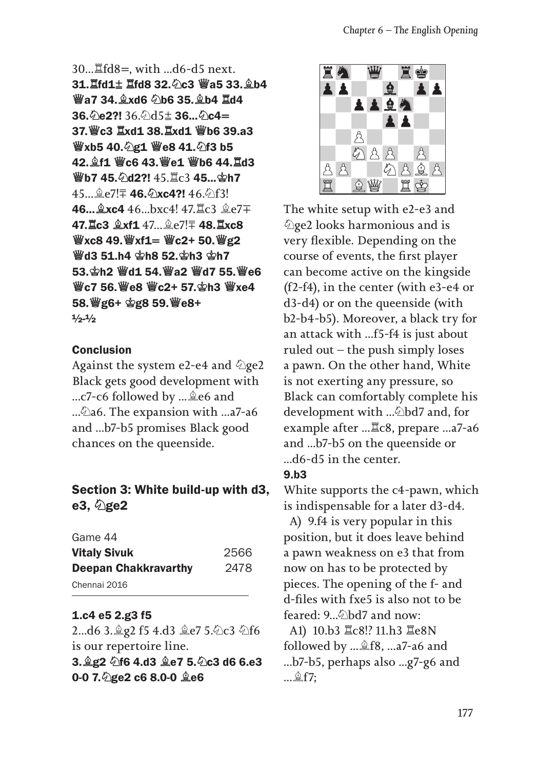```
30...♖fd8, with ...d6-d5 next. 
31.♖fd1⩱ ♖fd8 32.♘c3 ♕a5 33.♗b4 
♕a7 34.♗xd6 ♘b6 35.♗b4 ♖d4 
36.\&e2?! 36\&d5± 36...\&c4=
37.♕c3 ♖xd1 38.♖xd1 ♕b6 39.a3 
♕xb5 40.♘g1 ♕e8 41.♘f3 b5 
42.♗f1 ♕c6 43.♕e1 ♕b6 44.♖d3 
♕b7 45.♘d2?! 45.♖c3 45...♔h7 
45... e?! 46. 2xc4?! 46. 5 f3!
46...♗xc4 46...bxc4! 47.♖c3 ♗e7
47. Lc3 \&xf1 47... \&e7! \mp 48. Lxc8
\frac{\omega}{2}xc8 49.\frac{\omega}{2}xf1= \frac{\omega}{2}c2+ 50.\frac{\omega}{2}g2
♕d3 51.h4 ♔h8 52.♔h3 ♔h7 
53.♔h2 ♕d1 54.♕a2 ♕d7 55.♕e6 
♕c7 56.♕e8 ♕c2+ 57.♔h3 ♕xe4 
58.♕g6+ ♔g8 59.♕e8+
1/2 - 1/2
```
#### **Conclusion**

Against the system e2-e4 and  $\Diamond$ ge2 Black gets good development with ...c7-c6 followed by ...♗e6 and ...♘a6. The expansion with ...a7-a6 and ...b7-b5 promises Black good chances on the queenside.

## Section 3: White build-up with d3, e3, age2

| Game 44                     |      |
|-----------------------------|------|
| <b>Vitaly Sivuk</b>         | 2566 |
| <b>Deepan Chakkravarthy</b> | 2478 |
| Chennai 2016                |      |

#### 1.c4 e5 2.g3 f5

2...d6 3.♗g2 f5 4.d3 ♗e7 5.♘c3 ♘f6 is our repertoire line. 3.♗g2 ♘f6 4.d3 ♗e7 5.♘c3 d6 6.e3 0-0 7.♘ge2 c6 8.0-0 ♗e6



The white setup with e2-e3 and ♘ge2 looks harmonious and is very flexible. Depending on the course of events, the first player can become active on the kingside (f2-f4), in the center (with e3-e4 or d3-d4) or on the queenside (with b2-b4-b5). Moreover, a black try for an attack with ...f5-f4 is just about ruled out  $-$  the push simply loses a pawn. On the other hand, White is not exerting any pressure, so Black can comfortably complete his development with ...♘bd7 and, for example after ...♖c8, prepare ...a7-a6 and ...b7-b5 on the queenside or ...d6-d5 in the center.

#### 9.b3

White supports the c4-pawn, which is indispensable for a later d3-d4.

A) 9.f4 is very popular in this position, but it does leave behind a pawn weakness on e3 that from now on has to be protected by pieces. The opening of the f- and d-files with fxe5 is also not to be feared: 9... bd7 and now:

A1) 10.b3 ♖c8!? 11.h3 ♖e8N followed by ...♗f8, ...a7-a6 and ...b7-b5, perhaps also ...g7-g6 and ...♗f7;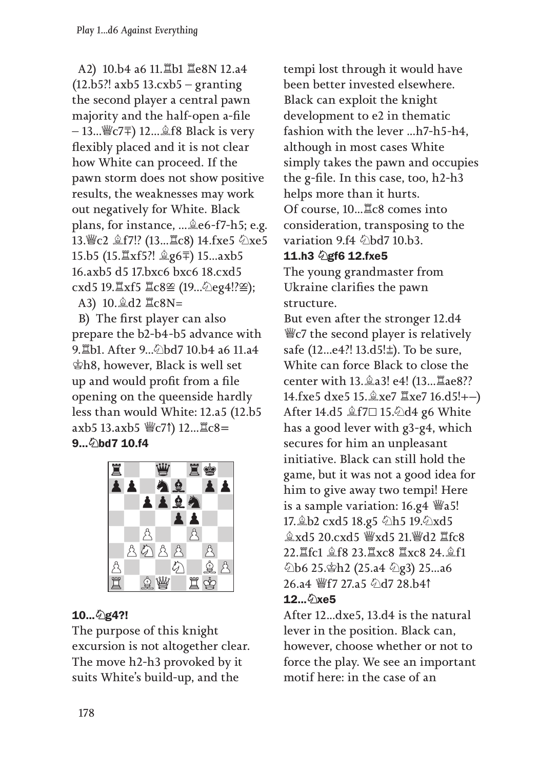A2) 10.b4 a6 11.♖b1 ♖e8N 12.a4 (12.b5?! axb5 13.cxb5 – granting the second player a central pawn majority and the half-open a-file  $-13...$  (√§  $C7\bar{=}$ ) 12... *a* f 8 Black is very flexibly placed and it is not clear how White can proceed. If the pawn storm does not show positive results, the weaknesses may work out negatively for White. Black plans, for instance, ...♗e6-f7-h5; e.g. 13. c2 盒f7!? (13... Lc8) 14.fxe5 ②xe5 15.b5 (15.♖xf5?! ♗g6⩲) 15...axb5 16.axb5 d5 17.bxc6 bxc6 18.cxd5 cxd5 19. xf5  $\angle$ c8≌ (19... 2eg4!?≌); A3) 10.♗d2 ♖c8N=

B) The first player can also prepare the b2-b4-b5 advance with 9. Lb1. After 9... のbd7 10.b4 a6 11.a4 ♔h8, however, Black is well set up and would profit from a file opening on the queenside hardly less than would White: 12.a5 (12.b5 axb5 13.axb5 ♕c7↑) 12...♖c8 9... 2bd7 10.f4



### 10...♘g4?!

The purpose of this knight excursion is not altogether clear. The move h2-h3 provoked by it suits White's build-up, and the

tempi lost through it would have been better invested elsewhere. Black can exploit the knight development to e2 in thematic fashion with the lever ...h7-h5-h4, although in most cases White simply takes the pawn and occupies the g-file. In this case, too, h2-h3 helps more than it hurts. Of course, 10...♖c8 comes into consideration, transposing to the variation 9.f4  $\Diamond$ bd7 10.b3.

#### 11.h3 2gf6 12.fxe5

The young grandmaster from Ukraine clarifies the pawn structure.

But even after the stronger 12.d4 ♕c7 the second player is relatively safe (12...e4?! 13.d5! $\pm$ ). To be sure, White can force Black to close the center with 13.♗a3! e4! (13...♖ae8?? 14.fxe5 dxe5 15. $\&$ xe7  $\&$ xe7 16.d5!+-) After 14.d5 ♗f7⊡ 15.♘d4 g6 White has a good lever with g3-g4, which secures for him an unpleasant initiative. Black can still hold the game, but it was not a good idea for him to give away two tempi! Here is a sample variation:  $16.g4 \times a5!$ 17.♗b2 cxd5 18.g5 ♘h5 19.♘xd5 ♗xd5 20.cxd5 ♕xd5 21.♕d2 ♖fc8 22.♖fc1 ♗f8 23.♖xc8 ♖xc8 24.♗f1 ♘b6 25.♔h2 (25.a4 ♘g3) 25...a6 26.a4 ♕f7 27.a5 ♘d7 28.b4↑ 12... 2xe5

After 12...dxe5, 13.d4 is the natural lever in the position. Black can, however, choose whether or not to force the play. We see an important motif here: in the case of an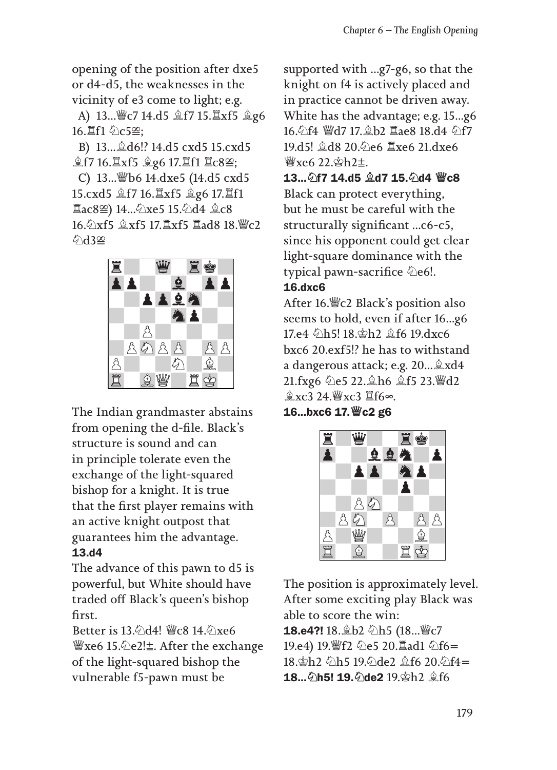opening of the position after dxe5 or d4-d5, the weaknesses in the vicinity of e3 come to light; e.g.

A) 13...♕c7 14.d5 ♗f7 15.♖xf5 ♗g6 16. 耳f1 のc5≌:

B) 13...♗d6!? 14.d5 cxd5 15.cxd5 **盒f7 16. Ixf5 盒g6 17. If1 Ic8≌;** 

C) 13...♕b6 14.dxe5 (14.d5 cxd5 15.cxd5 ♗f7 16.♖xf5 ♗g6 17.♖f1 ♖ac8) 14...♘xe5 15.♘d4 ♗c8 16.♘xf5 ♗xf5 17.♖xf5 ♖ad8 18.♕c2  $\oslash$ d3 $\infty$ 



The Indian grandmaster abstains from opening the d-file. Black's structure is sound and can in principle tolerate even the exchange of the light-squared bishop for a knight. It is true that the first player remains with an active knight outpost that guarantees him the advantage. 13.d4

The advance of this pawn to d5 is powerful, but White should have traded off Black's queen's bishop first.

Better is 13. ∆d4! *W*c8 14. ∆xe6 ♕xe6 15.♘e2!⩱. After the exchange of the light-squared bishop the vulnerable f5-pawn must be

supported with ...g7-g6, so that the knight on f4 is actively placed and in practice cannot be driven away. White has the advantage; e.g. 15...g6 16. 行4 響d7 17. gb2 Iae8 18. d4 公f7 19.d5! ♗d8 20.♘e6 ♖xe6 21.dxe6  $\frac{W}{2}$ xe6 22 $\frac{\Delta h}{\Delta t}$ .

13...♘f7 14.d5 ♗d7 15.♘d4 ♕c8 Black can protect everything, but he must be careful with the structurally significant ...c6-c5, since his opponent could get clear light-square dominance with the typical pawn-sacrifice  $\Diamond$ e6!.

### 16.dxc6

After 16.♕c2 Black's position also seems to hold, even if after 16...g6 17.e4 ♘h5! 18.♔h2 ♗f6 19.dxc6 bxc6 20.exf5!? he has to withstand a dangerous attack; e.g. 20...♗xd4 21.fxg6 ♘e5 22.♗h6 ♗f5 23.♕d2 ♗xc3 24.♕xc3 ♖f6∞.

16...bxc6 17.♕c2 g6



The position is approximately level. After some exciting play Black was able to score the win: 18.e4?! 18. b2 公h5 (18... 曾c7 19.e4) 19. f2 公e5 20.  $\Xi$ ad1 公f6= 18. th2 0h5 19. 0de2 \$f6 20. 0f4= 18... 2h5! 19. 2de2 19. gh2 gf6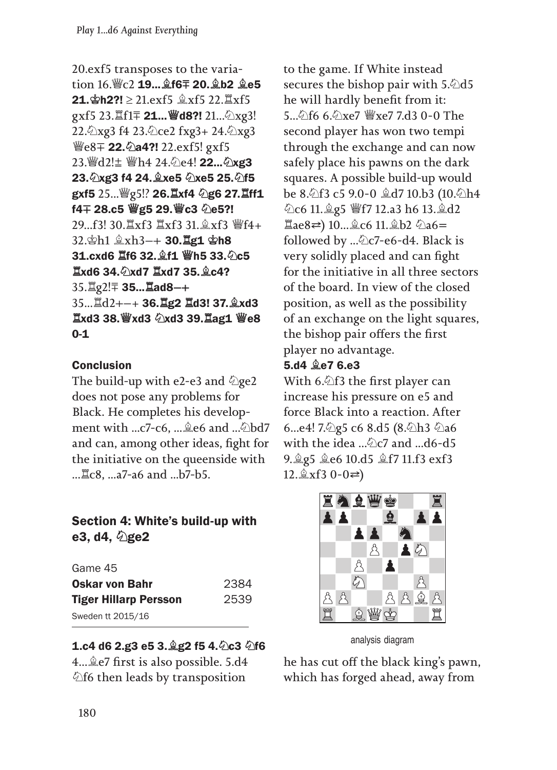20.exf5 transposes to the variation 16.♕c2 19...♗f6⩲ 20.♗b2 ♗e5 **21.**  $\Phi$ **h2?!** ≥ 21.exf5  $\&$ xf5 22. $\Xi$ xf5 gxf5 23. If1∓ **21... ₩d8?!** 21... ②xg3! 22.♘xg3 f4 23.♘ce2 fxg3+ 24.♘xg3 *₩e8* + 22. 2a4?! 22. exf5! gxf5 23. d2!± 曾h4 24. c4! **22...** 2xg3 23.♘xg3 f4 24.♗xe5 ♘xe5 25.♘f5 gxf5 25...♕g5!? 26.♖xf4 ♘g6 27.♖ff1 f4 + 28.c5 @g5 29. @c3 2e5?! 29...f3! 30.♖xf3 ♖xf3 31.♗xf3 ♕f4+ 32.♔h1 ♗xh3 30.♖g1 ♔h8 31.cxd6 ♖f6 32.♗f1 ♕h5 33.♘c5 ♖xd6 34.♘xd7 ♖xd7 35.♗c4? 35. 其g2! <sup>1</sup> 35... **Lad8-+** 35...♖d2+ 36.♖g2 ♖d3! 37.♗xd3 ♖xd3 38.♕xd3 ♘xd3 39.♖ag1 ♕e8 0-1

### **Conclusion**

The build-up with e2-e3 and  $\Diamond$ ge2 does not pose any problems for Black. He completes his development with ...c7-c6, ...♗e6 and ...♘bd7 and can, among other ideas, fight for the initiative on the queenside with ...♖c8, ...a7-a6 and ...b7-b5.

## Section 4: White's build-up with e3, d4,  $\Diamond$ ge2

| Game 45                      |      |
|------------------------------|------|
| <b>Oskar von Bahr</b>        | 2384 |
| <b>Tiger Hillarp Persson</b> | 2539 |
| Sweden tt 2015/16            |      |

### 1.c4 d6 2.g3 e5 3.♗g2 f5 4.♘c3 ♘f6

4...♗e7 first is also possible. 5.d4 ♘f6 then leads by transposition

to the game. If White instead secures the bishop pair with 5.⁄2d5 he will hardly benefit from it: 5...♘f6 6.♘xe7 ♕xe7 7.d3 0-0 The second player has won two tempi through the exchange and can now safely place his pawns on the dark squares. A possible build-up would be 8.♘f3 c5 9.0-0 ♗d7 10.b3 (10.♘h4 ♘c6 11.♗g5 ♕f7 12.a3 h6 13.♗d2 ♖ae8⇆) 10...♗c6 11.♗b2 ♘a6 followed by ... Dc7-e6-d4. Black is very solidly placed and can fight for the initiative in all three sectors of the board. In view of the closed position, as well as the possibility of an exchange on the light squares, the bishop pair offers the first player no advantage.

### 5.d4 ♗e7 6.e3

With 6.♘f3 the first player can increase his pressure on e5 and force Black into a reaction. After 6...e4! 7. 2g5 c6 8.d5 (8. 2h3 2a6 with the idea ...∕ ≥c7 and ...d6-d5 9.♗g5 ♗e6 10.d5 ♗f7 11.f3 exf3  $12.\angle xf3 \quad 0-0 \rightleftarrows$ 



analysis diagram

he has cut off the black king's pawn, which has forged ahead, away from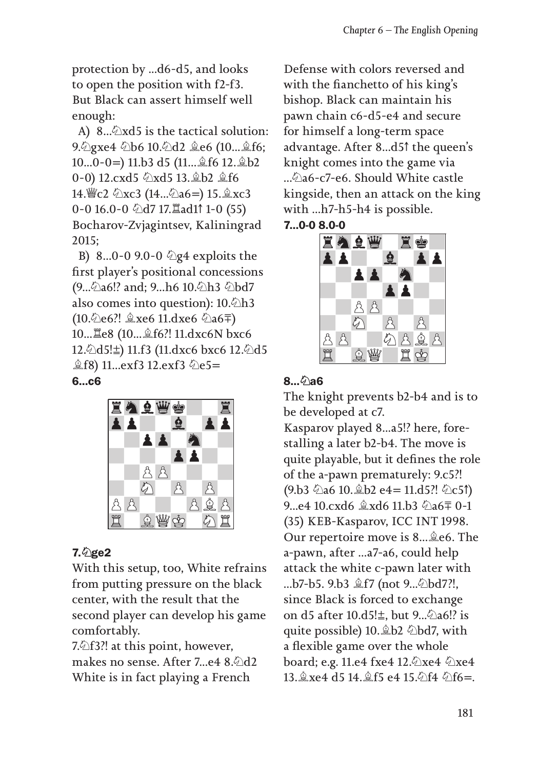protection by ...d6-d5, and looks to open the position with f2-f3. But Black can assert himself well enough:

A) 8... $\triangle xd5$  is the tactical solution: 9.♘gxe4 ♘b6 10.♘d2 ♗e6 (10...♗f6; 10...0-0) 11.b3 d5 (11...♗f6 12.♗b2 0-0) 12.cxd5 ♘xd5 13.♗b2 ♗f6 14.♕c2 ♘xc3 (14...♘a6) 15.♗xc3 0-0 16.0-0 ♘d7 17.♖ad1↑ 1-0 (55) Bocharov-Zvjagintsev, Kaliningrad 2015;

B) 8...0-0 9.0-0 ۞ g4 exploits the first player's positional concessions (9... $\&$ a6!? and; 9...h6 10. $\&$ h3  $\&$ bd7 also comes into question): 10. ∕ h3 (10.♘e6?! ♗xe6 11.dxe6 ♘a6⩲) 10...♖e8 (10...♗f6?! 11.dxc6N bxc6 12.♘d5!⩱) 11.f3 (11.dxc6 bxc6 12.♘d5  $\hat{\&}$ f8) 11...exf3 12.exf3  $\hat{\&}$ e5=

#### 6...c6



#### 7.♘ge2

With this setup, too, White refrains from putting pressure on the black center, with the result that the second player can develop his game comfortably.

7.♘f3?! at this point, however, makes no sense. After 7…e4 8.2d2 White is in fact playing a French

Defense with colors reversed and with the fianchetto of his king's bishop. Black can maintain his pawn chain c6-d5-e4 and secure for himself a long-term space advantage. After 8...d5↑ the queen's knight comes into the game via ...♘a6-c7-e6. Should White castle kingside, then an attack on the king with ...h7-h5-h4 is possible. 7...0-0 8.0-0



## 8... 2a6

The knight prevents b2-b4 and is to be developed at c7.

Kasparov played 8...a5!? here, forestalling a later b2-b4. The move is quite playable, but it defines the role of the a-pawn prematurely: 9.c5?! (9.b3  $\&$ a6 10.  $\&$ b2 e4 = 11.d5?!  $\&$ c5↑) 9...e4 10.cxd6 ♗xd6 11.b3 ♘a6⩲ 0-1 (35) KEB-Kasparov, ICC INT 1998. Our repertoire move is 8...♗e6. The a-pawn, after ...a7-a6, could help attack the white c-pawn later with ...b7-b5. 9.b3 ♗f7 (not 9...♘bd7?!, since Black is forced to exchange on d5 after 10.d5! $±$ , but 9...∕ a6!? is quite possible) 10.♗b2 ♘bd7, with a flexible game over the whole board; e.g. 11.e4 fxe4 12.۞xe4 ۞xe4 13. gxe4 d5 14. gf5 e4 15. 公f4 公f6=.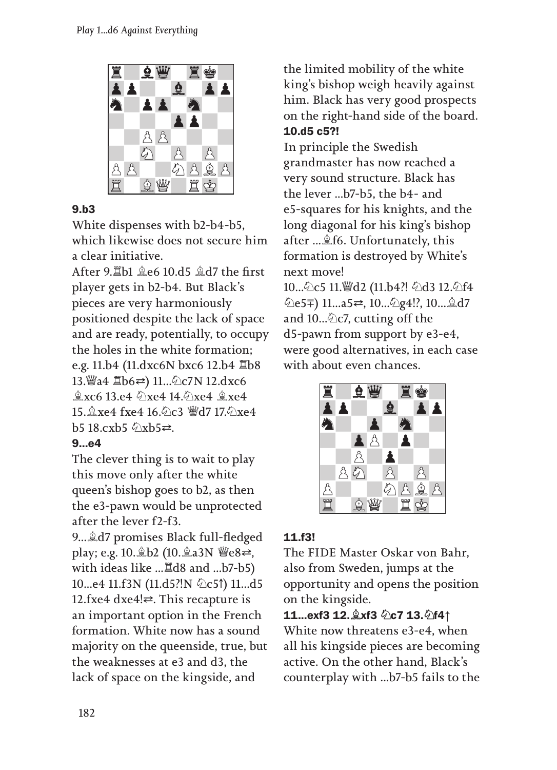

### 9.b3

White dispenses with b2-b4-b5, which likewise does not secure him a clear initiative.

After 9.♖b1 ♗e6 10.d5 ♗d7 the first player gets in b2-b4. But Black's pieces are very harmoniously positioned despite the lack of space and are ready, potentially, to occupy the holes in the white formation; e.g. 11.b4 (11.dxc6N bxc6 12.b4 ♖b8 13.♕a4 ♖b6⇆) 11...♘c7N 12.dxc6 ♗xc6 13.e4 ♘xe4 14.♘xe4 ♗xe4 15.♗xe4 fxe4 16.♘c3 ♕d7 17.♘xe4 b5 18.cxb5 ⊘xb5≥.

# 9...e4

The clever thing is to wait to play this move only after the white queen's bishop goes to b2, as then the e3-pawn would be unprotected after the lever f2-f3.

9...♗d7 promises Black full-fledged play; e.g. 10. tb2 (10. ta3N *। e8*  $\rightleftharpoons$ , with ideas like ...♖d8 and ...b7-b5) 10...e4 11.f3N (11.d5?!N ۞c5↑) 11...d5 12.fxe4 dxe4! $\rightleftharpoons$ . This recapture is an important option in the French formation. White now has a sound majority on the queenside, true, but the weaknesses at e3 and d3, the lack of space on the kingside, and

the limited mobility of the white king's bishop weigh heavily against him. Black has very good prospects on the right-hand side of the board. 10.d5 c5?!

In principle the Swedish grandmaster has now reached a very sound structure. Black has the lever ...b7-b5, the b4- and e5-squares for his knights, and the long diagonal for his king's bishop after ...♗f6. Unfortunately, this formation is destroyed by White's next move!

10... 2c5 11. 彎d2 (11.b4?! 2d3 12. 2f4 ♘e5⩲) 11...a5⇆, 10...♘g4!?, 10...♗d7 and  $10...\&c7$ , cutting off the d5-pawn from support by e3-e4, were good alternatives, in each case with about even chances.



# 11.f3!

The FIDE Master Oskar von Bahr, also from Sweden, jumps at the opportunity and opens the position on the kingside.

```
11...exf3 12.♗xf3 ♘c7 13.♘f4↑
```
White now threatens e3-e4, when all his kingside pieces are becoming active. On the other hand, Black's counterplay with ...b7-b5 fails to the